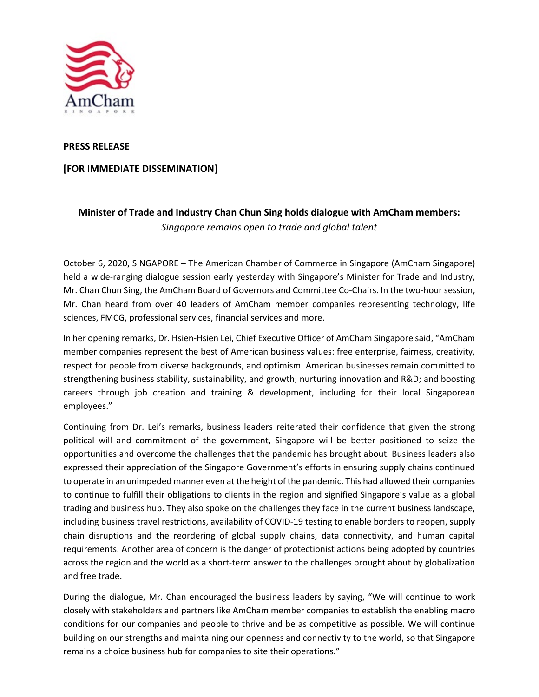

## **PRESS RELEASE**

## **[FOR IMMEDIATE DISSEMINATION]**

## **Minister of Trade and Industry Chan Chun Sing holds dialogue with AmCham members:**  *Singapore remains open to trade and global talent*

October 6, 2020, SINGAPORE – The American Chamber of Commerce in Singapore (AmCham Singapore) held a wide-ranging dialogue session early yesterday with Singapore's Minister for Trade and Industry, Mr. Chan Chun Sing, the AmCham Board of Governors and Committee Co-Chairs. In the two-hour session, Mr. Chan heard from over 40 leaders of AmCham member companies representing technology, life sciences, FMCG, professional services, financial services and more.

In her opening remarks, Dr. Hsien-Hsien Lei, Chief Executive Officer of AmCham Singapore said, "AmCham member companies represent the best of American business values: free enterprise, fairness, creativity, respect for people from diverse backgrounds, and optimism. American businesses remain committed to strengthening business stability, sustainability, and growth; nurturing innovation and R&D; and boosting careers through job creation and training & development, including for their local Singaporean employees."

Continuing from Dr. Lei's remarks, business leaders reiterated their confidence that given the strong political will and commitment of the government, Singapore will be better positioned to seize the opportunities and overcome the challenges that the pandemic has brought about. Business leaders also expressed their appreciation of the Singapore Government's efforts in ensuring supply chains continued to operate in an unimpeded manner even at the height of the pandemic. This had allowed their companies to continue to fulfill their obligations to clients in the region and signified Singapore's value as a global trading and business hub. They also spoke on the challenges they face in the current business landscape, including business travel restrictions, availability of COVID-19 testing to enable borders to reopen, supply chain disruptions and the reordering of global supply chains, data connectivity, and human capital requirements. Another area of concern is the danger of protectionist actions being adopted by countries across the region and the world as a short-term answer to the challenges brought about by globalization and free trade.

During the dialogue, Mr. Chan encouraged the business leaders by saying, "We will continue to work closely with stakeholders and partners like AmCham member companies to establish the enabling macro conditions for our companies and people to thrive and be as competitive as possible. We will continue building on our strengths and maintaining our openness and connectivity to the world, so that Singapore remains a choice business hub for companies to site their operations."